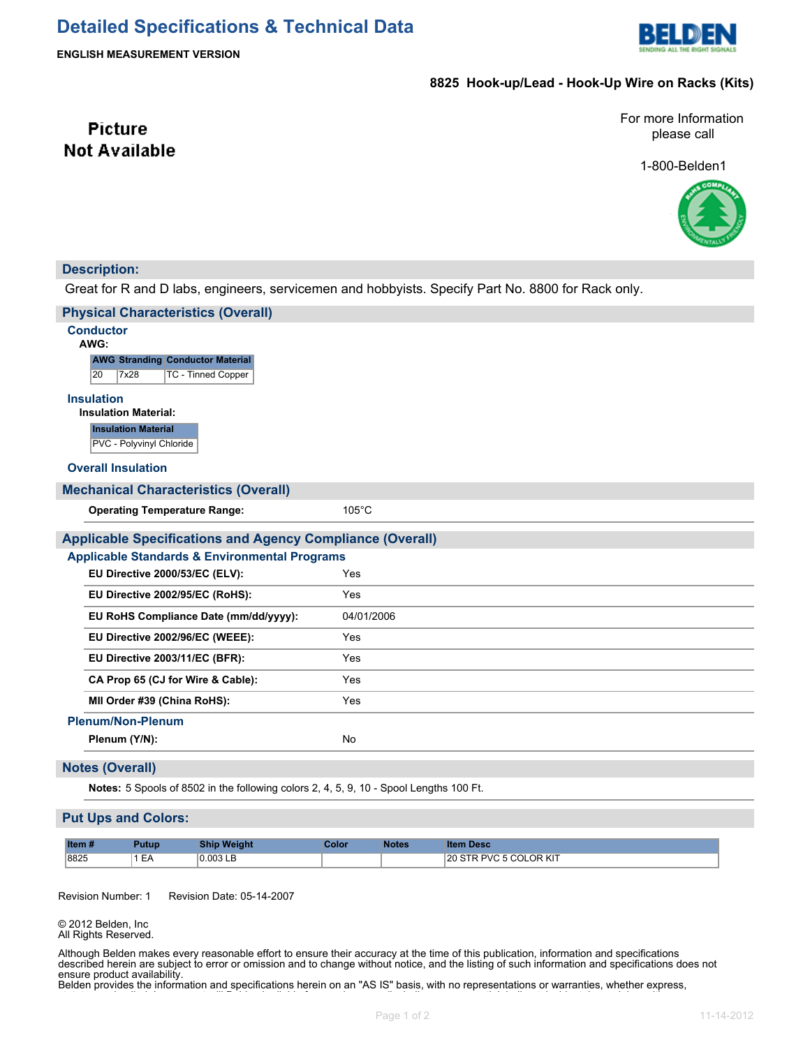

**ENGLISH MEASUREMENT VERSION**

## **8825 Hook-up/Lead - Hook-Up Wire on Racks (Kits)**

For more Information please call

1-800-Belden1



## **Description:**

**Picture Not Available** 

Great for R and D labs, engineers, servicemen and hobbyists. Specify Part No. 8800 for Rack only.

| <b>Physical Characteristics (Overall)</b>                                              |                 |  |  |  |  |
|----------------------------------------------------------------------------------------|-----------------|--|--|--|--|
| <b>Conductor</b><br>AWG:                                                               |                 |  |  |  |  |
| <b>AWG Stranding Conductor Material</b><br><b>TC - Tinned Copper</b><br>7x28<br>20     |                 |  |  |  |  |
| <b>Insulation</b><br><b>Insulation Material:</b>                                       |                 |  |  |  |  |
| <b>Insulation Material</b><br>PVC - Polyvinyl Chloride                                 |                 |  |  |  |  |
| <b>Overall Insulation</b>                                                              |                 |  |  |  |  |
| <b>Mechanical Characteristics (Overall)</b>                                            |                 |  |  |  |  |
| <b>Operating Temperature Range:</b>                                                    | $105^{\circ}$ C |  |  |  |  |
| <b>Applicable Specifications and Agency Compliance (Overall)</b>                       |                 |  |  |  |  |
| <b>Applicable Standards &amp; Environmental Programs</b>                               |                 |  |  |  |  |
| EU Directive 2000/53/EC (ELV):                                                         | Yes             |  |  |  |  |
| EU Directive 2002/95/EC (RoHS):                                                        | Yes             |  |  |  |  |
| EU RoHS Compliance Date (mm/dd/yyyy):                                                  | 04/01/2006      |  |  |  |  |
| EU Directive 2002/96/EC (WEEE):                                                        | Yes             |  |  |  |  |
| EU Directive 2003/11/EC (BFR):                                                         | Yes             |  |  |  |  |
| CA Prop 65 (CJ for Wire & Cable):                                                      | Yes             |  |  |  |  |
| MII Order #39 (China RoHS):                                                            | Yes             |  |  |  |  |
| <b>Plenum/Non-Plenum</b>                                                               |                 |  |  |  |  |
| Plenum (Y/N):                                                                          | <b>No</b>       |  |  |  |  |
| <b>Notes (Overall)</b>                                                                 |                 |  |  |  |  |
| Notes: 5 Spools of 8502 in the following colors 2, 4, 5, 9, 10 - Spool Lengths 100 Ft. |                 |  |  |  |  |

### **Put Ups and Colors:**

| Item# | Putup.                                   | <b>Ship Weight</b> | :olor | Notes | ı Desc                 |
|-------|------------------------------------------|--------------------|-------|-------|------------------------|
| 8825  | $\overline{\phantom{0}}$<br>$ \triangle$ | $0.003$ LB<br>.    |       |       | 20 STR PVC 5 COLOR KIT |

Revision Number: 1 Revision Date: 05-14-2007

© 2012 Belden, Inc All Rights Reserved.

Although Belden makes every reasonable effort to ensure their accuracy at the time of this publication, information and specifications described herein are subject to error or omission and to change without notice, and the listing of such information and specifications does not ensure product availability.

Belden provides the information and specifications herein on an "AS IS" basis, with no representations or warranties, whether express,